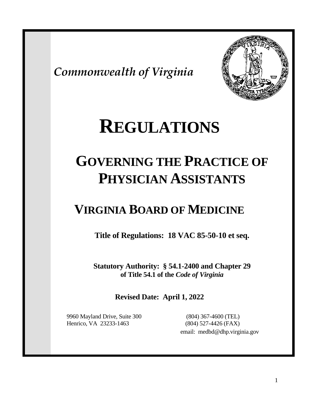*Commonwealth of Virginia*



# **REGULATIONS**

# **GOVERNING THE PRACTICE OF PHYSICIAN ASSISTANTS**

# **VIRGINIA BOARD OF MEDICINE**

**Title of Regulations: 18 VAC 85-50-10 et seq.**

**Statutory Authority: § 54.1-2400 and Chapter 29 of Title 54.1 of the** *Code of Virginia*

# **Revised Date: April 1, 2022**

 9960 Mayland Drive, Suite 300 (804) 367-4600 (TEL) Henrico, VA 23233-1463 (804) 527-4426 (FAX)

email: medbd@dhp.virginia.gov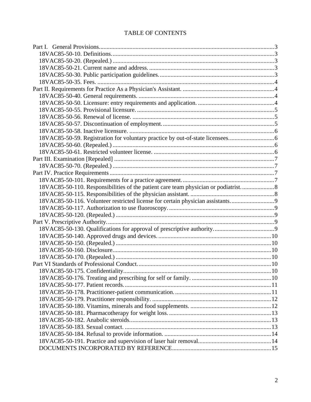# TABLE OF CONTENTS

| 18VAC85-50-110. Responsibilities of the patient care team physician or podiatrist |  |
|-----------------------------------------------------------------------------------|--|
|                                                                                   |  |
| 18VAC85-50-116. Volunteer restricted license for certain physician assistants9    |  |
|                                                                                   |  |
|                                                                                   |  |
|                                                                                   |  |
|                                                                                   |  |
|                                                                                   |  |
|                                                                                   |  |
|                                                                                   |  |
|                                                                                   |  |
|                                                                                   |  |
|                                                                                   |  |
|                                                                                   |  |
|                                                                                   |  |
|                                                                                   |  |
|                                                                                   |  |
|                                                                                   |  |
|                                                                                   |  |
|                                                                                   |  |
|                                                                                   |  |
|                                                                                   |  |
|                                                                                   |  |
|                                                                                   |  |
|                                                                                   |  |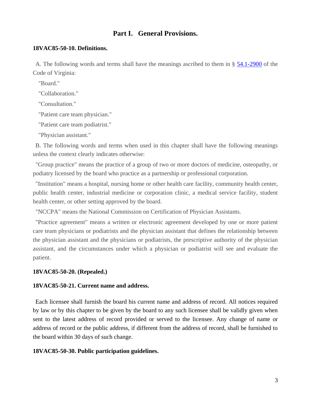# **Part I. General Provisions.**

#### <span id="page-2-1"></span><span id="page-2-0"></span>**18VAC85-50-10. Definitions.**

<span id="page-2-2"></span>A. The following words and terms shall have the meanings ascribed to them in § [54.1-2900](https://law.lis.virginia.gov/vacode/54.1-2900/) of the Code of Virginia:

"Board."

"Collaboration."

"Consultation."

"Patient care team physician."

"Patient care team podiatrist."

"Physician assistant."

B. The following words and terms when used in this chapter shall have the following meanings unless the context clearly indicates otherwise:

"Group practice" means the practice of a group of two or more doctors of medicine, osteopathy, or podiatry licensed by the board who practice as a partnership or professional corporation.

"Institution" means a hospital, nursing home or other health care facility, community health center, public health center, industrial medicine or corporation clinic, a medical service facility, student health center, or other setting approved by the board.

"NCCPA" means the National Commission on Certification of Physician Assistants.

"Practice agreement" means a written or electronic agreement developed by one or more patient care team physicians or podiatrists and the physician assistant that defines the relationship between the physician assistant and the physicians or podiatrists, the prescriptive authority of the physician assistant, and the circumstances under which a physician or podiatrist will see and evaluate the patient.

#### **18VAC85-50-20. (Repealed.)**

#### <span id="page-2-3"></span>**18VAC85-50-21. Current name and address.**

Each licensee shall furnish the board his current name and address of record. All notices required by law or by this chapter to be given by the board to any such licensee shall be validly given when sent to the latest address of record provided or served to the licensee. Any change of name or address of record or the public address, if different from the address of record, shall be furnished to the board within 30 days of such change.

#### <span id="page-2-4"></span>**18VAC85-50-30. Public participation guidelines.**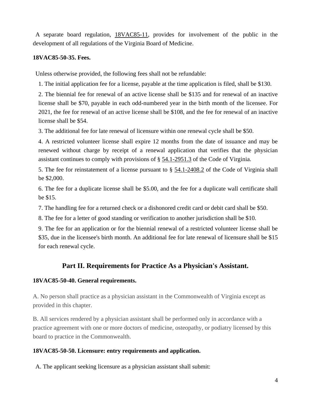A separate board regulation, [18VAC85-11,](http://law.lis.virginia.gov/admincode/title18/agency85/chapter11/) provides for involvement of the public in the development of all regulations of the Virginia Board of Medicine.

# <span id="page-3-0"></span>**18VAC85-50-35. Fees.**

Unless otherwise provided, the following fees shall not be refundable:

1. The initial application fee for a license, payable at the time application is filed, shall be \$130.

2. The biennial fee for renewal of an active license shall be \$135 and for renewal of an inactive license shall be \$70, payable in each odd-numbered year in the birth month of the licensee. For 2021, the fee for renewal of an active license shall be \$108, and the fee for renewal of an inactive license shall be \$54.

3. The additional fee for late renewal of licensure within one renewal cycle shall be \$50.

4. A restricted volunteer license shall expire 12 months from the date of issuance and may be renewed without charge by receipt of a renewal application that verifies that the physician assistant continues to comply with provisions of § [54.1-2951.3](http://law.lis.virginia.gov/vacode/54.1-2951.3/) of the Code of Virginia.

5. The fee for reinstatement of a license pursuant to § [54.1-2408.2](http://law.lis.virginia.gov/vacode/54.1-2408.2/) of the Code of Virginia shall be \$2,000.

6. The fee for a duplicate license shall be \$5.00, and the fee for a duplicate wall certificate shall be \$15.

7. The handling fee for a returned check or a dishonored credit card or debit card shall be \$50.

8. The fee for a letter of good standing or verification to another jurisdiction shall be \$10.

9. The fee for an application or for the biennial renewal of a restricted volunteer license shall be \$35, due in the licensee's birth month. An additional fee for late renewal of licensure shall be \$15 for each renewal cycle.

# **Part II. Requirements for Practice As a Physician's Assistant.**

### <span id="page-3-2"></span><span id="page-3-1"></span>**18VAC85-50-40. General requirements.**

A. No person shall practice as a physician assistant in the Commonwealth of Virginia except as provided in this chapter.

B. All services rendered by a physician assistant shall be performed only in accordance with a practice agreement with one or more doctors of medicine, osteopathy, or podiatry licensed by this board to practice in the Commonwealth.

### <span id="page-3-3"></span>**18VAC85-50-50. Licensure: entry requirements and application.**

A. The applicant seeking licensure as a physician assistant shall submit: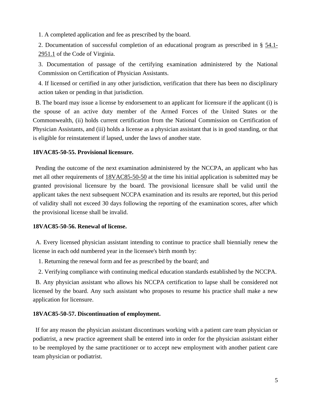1. A completed application and fee as prescribed by the board.

2. Documentation of successful completion of an educational program as prescribed in § [54.1-](http://law.lis.virginia.gov/vacode/54.1-2951.1/) [2951.1](http://law.lis.virginia.gov/vacode/54.1-2951.1/) of the Code of Virginia.

3. Documentation of passage of the certifying examination administered by the National Commission on Certification of Physician Assistants.

4. If licensed or certified in any other jurisdiction, verification that there has been no disciplinary action taken or pending in that jurisdiction.

B. The board may issue a license by endorsement to an applicant for licensure if the applicant (i) is the spouse of an active duty member of the Armed Forces of the United States or the Commonwealth, (ii) holds current certification from the National Commission on Certification of Physician Assistants, and (iii) holds a license as a physician assistant that is in good standing, or that is eligible for reinstatement if lapsed, under the laws of another state.

# <span id="page-4-0"></span>**18VAC85-50-55. Provisional licensure.**

Pending the outcome of the next examination administered by the NCCPA, an applicant who has met all other requirements of [18VAC85-50-50](http://law.lis.virginia.gov/admincode/title18/agency85/chapter50/section50/) at the time his initial application is submitted may be granted provisional licensure by the board. The provisional licensure shall be valid until the applicant takes the next subsequent NCCPA examination and its results are reported, but this period of validity shall not exceed 30 days following the reporting of the examination scores, after which the provisional license shall be invalid.

### <span id="page-4-1"></span>**18VAC85-50-56. Renewal of license.**

A. Every licensed physician assistant intending to continue to practice shall biennially renew the license in each odd numbered year in the licensee's birth month by:

- 1. Returning the renewal form and fee as prescribed by the board; and
- 2. Verifying compliance with continuing medical education standards established by the NCCPA.

B. Any physician assistant who allows his NCCPA certification to lapse shall be considered not licensed by the board. Any such assistant who proposes to resume his practice shall make a new application for licensure.

### <span id="page-4-2"></span>**18VAC85-50-57. Discontinuation of employment.**

If for any reason the physician assistant discontinues working with a patient care team physician or podiatrist, a new practice agreement shall be entered into in order for the physician assistant either to be reemployed by the same practitioner or to accept new employment with another patient care team physician or podiatrist.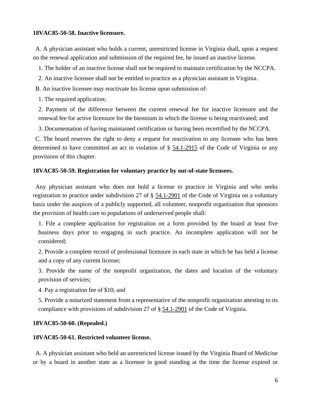#### <span id="page-5-0"></span>**18VAC85-50-58. Inactive licensure.**

A. A physician assistant who holds a current, unrestricted license in Virginia shall, upon a request on the renewal application and submission of the required fee, be issued an inactive license.

1. The holder of an inactive license shall not be required to maintain certification by the NCCPA.

2. An inactive licensee shall not be entitled to practice as a physician assistant in Virginia.

B. An inactive licensee may reactivate his license upon submission of:

1. The required application;

2. Payment of the difference between the current renewal fee for inactive licensure and the renewal fee for active licensure for the biennium in which the license is being reactivated; and

3. Documentation of having maintained certification or having been recertified by the NCCPA.

C. The board reserves the right to deny a request for reactivation to any licensee who has been determined to have committed an act in violation of § [54.1-2915](http://law.lis.virginia.gov/vacode/54.1-2915/) of the Code of Virginia or any provisions of this chapter.

#### <span id="page-5-1"></span>**18VAC85-50-59. Registration for voluntary practice by out-of-state licensees.**

Any physician assistant who does not hold a license to practice in Virginia and who seeks registration to practice under subdivision 27 of § [54.1-2901](http://law.lis.virginia.gov/vacode/54.1-2901/) of the Code of Virginia on a voluntary basis under the auspices of a publicly supported, all volunteer, nonprofit organization that sponsors the provision of health care to populations of underserved people shall:

1. File a complete application for registration on a form provided by the board at least five business days prior to engaging in such practice. An incomplete application will not be considered;

2. Provide a complete record of professional licensure in each state in which he has held a license and a copy of any current license;

3. Provide the name of the nonprofit organization, the dates and location of the voluntary provision of services;

4. Pay a registration fee of \$10; and

5. Provide a notarized statement from a representative of the nonprofit organization attesting to its compliance with provisions of subdivision 27 of § [54.1-2901](http://law.lis.virginia.gov/vacode/54.1-2901/) of the Code of Virginia.

#### <span id="page-5-2"></span>**18VAC85-50-60. (Repealed.)**

#### <span id="page-5-3"></span>**18VAC85-50-61. Restricted volunteer license.**

A. A physician assistant who held an unrestricted license issued by the Virginia Board of Medicine or by a board in another state as a licensee in good standing at the time the license expired or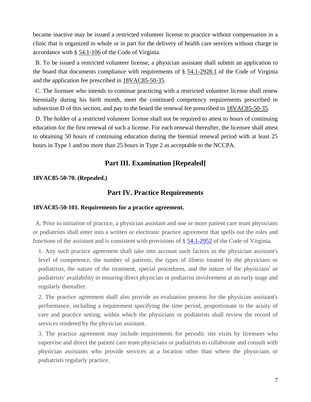became inactive may be issued a restricted volunteer license to practice without compensation in a clinic that is organized in whole or in part for the delivery of health care services without charge in accordance with § [54.1-106](http://law.lis.virginia.gov/vacode/54.1-106/) of the Code of Virginia.

B. To be issued a restricted volunteer license, a physician assistant shall submit an application to the board that documents compliance with requirements of § [54.1-2928.1](http://law.lis.virginia.gov/vacode/54.1-2928.1/) of the Code of Virginia and the application fee prescribed in [18VAC85-50-35.](http://law.lis.virginia.gov/admincode/title18/agency85/chapter50/section35/)

C. The licensee who intends to continue practicing with a restricted volunteer license shall renew biennially during his birth month, meet the continued competency requirements prescribed in subsection D of this section, and pay to the board the renewal fee prescribed in  $18VAC85-50-35$ .

D. The holder of a restricted volunteer license shall not be required to attest to hours of continuing education for the first renewal of such a license. For each renewal thereafter, the licensee shall attest to obtaining 50 hours of continuing education during the biennial renewal period with at least 25 hours in Type 1 and no more than 25 hours in Type 2 as acceptable to the NCCPA.

# **Part III. Examination [Repealed]**

# <span id="page-6-2"></span><span id="page-6-1"></span><span id="page-6-0"></span>**18VAC85-50-70. (Repealed.)**

# **Part IV. Practice Requirements**

### <span id="page-6-3"></span>**18VAC85-50-101. Requirements for a practice agreement.**

A. Prior to initiation of practice, a physician assistant and one or more patient care team physicians or podiatrists shall enter into a written or electronic practice agreement that spells out the roles and functions of the assistant and is consistent with provisions of § [54.1-2952](https://law.lis.virginia.gov/vacode/54.1-2952/) of the Code of Virginia.

1. Any such practice agreement shall take into account such factors as the physician assistant's level of competence, the number of patients, the types of illness treated by the physicians or podiatrists, the nature of the treatment, special procedures, and the nature of the physicians' or podiatrists' availability in ensuring direct physician or podiatrist involvement at an early stage and regularly thereafter.

2. The practice agreement shall also provide an evaluation process for the physician assistant's performance, including a requirement specifying the time period, proportionate to the acuity of care and practice setting, within which the physicians or podiatrists shall review the record of services rendered by the physician assistant.

3. The practice agreement may include requirements for periodic site visits by licensees who supervise and direct the patient care team physicians or podiatrists to collaborate and consult with physician assistants who provide services at a location other than where the physicians or podiatrists regularly practice.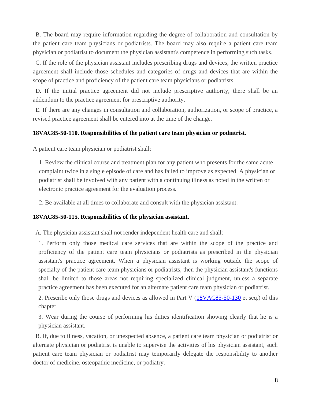B. The board may require information regarding the degree of collaboration and consultation by the patient care team physicians or podiatrists. The board may also require a patient care team physician or podiatrist to document the physician assistant's competence in performing such tasks.

C. If the role of the physician assistant includes prescribing drugs and devices, the written practice agreement shall include those schedules and categories of drugs and devices that are within the scope of practice and proficiency of the patient care team physicians or podiatrists.

D. If the initial practice agreement did not include prescriptive authority, there shall be an addendum to the practice agreement for prescriptive authority.

E. If there are any changes in consultation and collaboration, authorization, or scope of practice, a revised practice agreement shall be entered into at the time of the change.

# <span id="page-7-0"></span>**18VAC85-50-110. Responsibilities of the patient care team physician or podiatrist.**

A patient care team physician or podiatrist shall:

1. Review the clinical course and treatment plan for any patient who presents for the same acute complaint twice in a single episode of care and has failed to improve as expected. A physician or podiatrist shall be involved with any patient with a continuing illness as noted in the written or electronic practice agreement for the evaluation process.

2. Be available at all times to collaborate and consult with the physician assistant.

# <span id="page-7-1"></span>**18VAC85-50-115. Responsibilities of the physician assistant.**

A. The physician assistant shall not render independent health care and shall:

1. Perform only those medical care services that are within the scope of the practice and proficiency of the patient care team physicians or podiatrists as prescribed in the physician assistant's practice agreement. When a physician assistant is working outside the scope of specialty of the patient care team physicians or podiatrists, then the physician assistant's functions shall be limited to those areas not requiring specialized clinical judgment, unless a separate practice agreement has been executed for an alternate patient care team physician or podiatrist.

2. Prescribe only those drugs and devices as allowed in Part V [\(18VAC85-50-130](https://law.lis.virginia.gov/admincode/title18/agency85/chapter50/section130/) et seq.) of this chapter.

3. Wear during the course of performing his duties identification showing clearly that he is a physician assistant.

B. If, due to illness, vacation, or unexpected absence, a patient care team physician or podiatrist or alternate physician or podiatrist is unable to supervise the activities of his physician assistant, such patient care team physician or podiatrist may temporarily delegate the responsibility to another doctor of medicine, osteopathic medicine, or podiatry.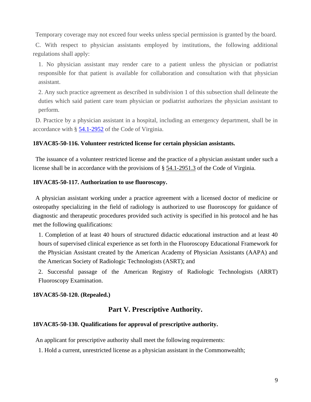Temporary coverage may not exceed four weeks unless special permission is granted by the board.

C. With respect to physician assistants employed by institutions, the following additional regulations shall apply:

1. No physician assistant may render care to a patient unless the physician or podiatrist responsible for that patient is available for collaboration and consultation with that physician assistant.

2. Any such practice agreement as described in subdivision 1 of this subsection shall delineate the duties which said patient care team physician or podiatrist authorizes the physician assistant to perform.

D. Practice by a physician assistant in a hospital, including an emergency department, shall be in accordance with § [54.1-2952](https://law.lis.virginia.gov/vacode/54.1-2952/) of the Code of Virginia.

#### <span id="page-8-0"></span>**18VAC85-50-116. Volunteer restricted license for certain physician assistants.**

The issuance of a volunteer restricted license and the practice of a physician assistant under such a license shall be in accordance with the provisions of § [54.1-2951.3](http://law.lis.virginia.gov/vacode/54.1-2951.3/) of the Code of Virginia.

#### <span id="page-8-1"></span>**18VAC85-50-117. Authorization to use fluoroscopy.**

A physician assistant working under a practice agreement with a licensed doctor of medicine or osteopathy specializing in the field of radiology is authorized to use fluoroscopy for guidance of diagnostic and therapeutic procedures provided such activity is specified in his protocol and he has met the following qualifications:

1. Completion of at least 40 hours of structured didactic educational instruction and at least 40 hours of supervised clinical experience as set forth in the Fluoroscopy Educational Framework for the Physician Assistant created by the American Academy of Physician Assistants (AAPA) and the American Society of Radiologic Technologists (ASRT); and

2. Successful passage of the American Registry of Radiologic Technologists (ARRT) Fluoroscopy Examination.

#### <span id="page-8-3"></span><span id="page-8-2"></span>**18VAC85-50-120. (Repealed.)**

# **Part V. Prescriptive Authority.**

#### <span id="page-8-4"></span>**18VAC85-50-130. Qualifications for approval of prescriptive authority.**

An applicant for prescriptive authority shall meet the following requirements:

1. Hold a current, unrestricted license as a physician assistant in the Commonwealth;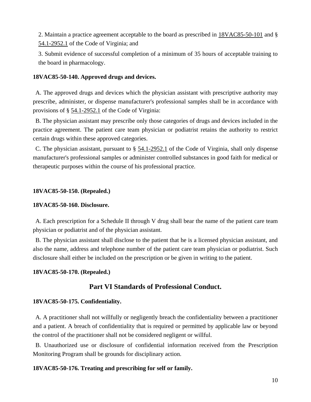2. Maintain a practice agreement acceptable to the board as prescribed in [18VAC85-50-101](http://law.lis.virginia.gov/admincode/title18/agency85/chapter50/section101/) and § [54.1-2952.1](http://law.lis.virginia.gov/vacode/54.1-2952.1/) of the Code of Virginia; and

3. Submit evidence of successful completion of a minimum of 35 hours of acceptable training to the board in pharmacology.

# <span id="page-9-0"></span>**18VAC85-50-140. Approved drugs and devices.**

A. The approved drugs and devices which the physician assistant with prescriptive authority may prescribe, administer, or dispense manufacturer's professional samples shall be in accordance with provisions of § [54.1-2952.1](http://law.lis.virginia.gov/vacode/54.1-2952.1/) of the Code of Virginia:

B. The physician assistant may prescribe only those categories of drugs and devices included in the practice agreement. The patient care team physician or podiatrist retains the authority to restrict certain drugs within these approved categories.

C. The physician assistant, pursuant to § [54.1-2952.1](http://law.lis.virginia.gov/vacode/54.1-2952.1/) of the Code of Virginia, shall only dispense manufacturer's professional samples or administer controlled substances in good faith for medical or therapeutic purposes within the course of his professional practice.

# <span id="page-9-1"></span>**18VAC85-50-150. (Repealed.)**

### <span id="page-9-2"></span>**18VAC85-50-160. Disclosure.**

A. Each prescription for a Schedule II through V drug shall bear the name of the patient care team physician or podiatrist and of the physician assistant.

B. The physician assistant shall disclose to the patient that he is a licensed physician assistant, and also the name, address and telephone number of the patient care team physician or podiatrist. Such disclosure shall either be included on the prescription or be given in writing to the patient.

# <span id="page-9-4"></span><span id="page-9-3"></span>**18VAC85-50-170. (Repealed.)**

# **Part VI Standards of Professional Conduct.**

# <span id="page-9-5"></span>**18VAC85-50-175. Confidentiality.**

A. A practitioner shall not willfully or negligently breach the confidentiality between a practitioner and a patient. A breach of confidentiality that is required or permitted by applicable law or beyond the control of the practitioner shall not be considered negligent or willful.

B. Unauthorized use or disclosure of confidential information received from the Prescription Monitoring Program shall be grounds for disciplinary action.

# <span id="page-9-6"></span>**18VAC85-50-176. Treating and prescribing for self or family.**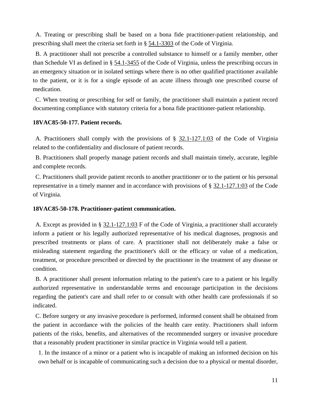A. Treating or prescribing shall be based on a bona fide practitioner-patient relationship, and prescribing shall meet the criteria set forth in § [54.1-3303](http://law.lis.virginia.gov/vacode/54.1-3303/) of the Code of Virginia.

B. A practitioner shall not prescribe a controlled substance to himself or a family member, other than Schedule VI as defined in § [54.1-3455](http://law.lis.virginia.gov/vacode/54.1-3455/) of the Code of Virginia, unless the prescribing occurs in an emergency situation or in isolated settings where there is no other qualified practitioner available to the patient, or it is for a single episode of an acute illness through one prescribed course of medication.

C. When treating or prescribing for self or family, the practitioner shall maintain a patient record documenting compliance with statutory criteria for a bona fide practitioner-patient relationship.

### <span id="page-10-0"></span>**18VAC85-50-177. Patient records.**

A. Practitioners shall comply with the provisions of § [32.1-127.1:03](http://law.lis.virginia.gov/vacode/32.1-127.1:03/) of the Code of Virginia related to the confidentiality and disclosure of patient records.

B. Practitioners shall properly manage patient records and shall maintain timely, accurate, legible and complete records.

C. Practitioners shall provide patient records to another practitioner or to the patient or his personal representative in a timely manner and in accordance with provisions of § [32.1-127.1:03](http://law.lis.virginia.gov/vacode/32.1-127.1:03/) of the Code of Virginia.

### <span id="page-10-1"></span>**18VAC85-50-178. Practitioner-patient communication.**

A. Except as provided in § [32.1-127.1:03](http://law.lis.virginia.gov/vacode/32.1-127.1:03/) F of the Code of Virginia, a practitioner shall accurately inform a patient or his legally authorized representative of his medical diagnoses, prognosis and prescribed treatments or plans of care. A practitioner shall not deliberately make a false or misleading statement regarding the practitioner's skill or the efficacy or value of a medication, treatment, or procedure prescribed or directed by the practitioner in the treatment of any disease or condition.

B. A practitioner shall present information relating to the patient's care to a patient or his legally authorized representative in understandable terms and encourage participation in the decisions regarding the patient's care and shall refer to or consult with other health care professionals if so indicated.

C. Before surgery or any invasive procedure is performed, informed consent shall be obtained from the patient in accordance with the policies of the health care entity. Practitioners shall inform patients of the risks, benefits, and alternatives of the recommended surgery or invasive procedure that a reasonably prudent practitioner in similar practice in Virginia would tell a patient.

1. In the instance of a minor or a patient who is incapable of making an informed decision on his own behalf or is incapable of communicating such a decision due to a physical or mental disorder,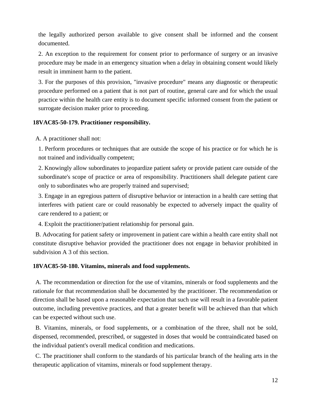the legally authorized person available to give consent shall be informed and the consent documented.

2. An exception to the requirement for consent prior to performance of surgery or an invasive procedure may be made in an emergency situation when a delay in obtaining consent would likely result in imminent harm to the patient.

3. For the purposes of this provision, "invasive procedure" means any diagnostic or therapeutic procedure performed on a patient that is not part of routine, general care and for which the usual practice within the health care entity is to document specific informed consent from the patient or surrogate decision maker prior to proceeding.

# <span id="page-11-0"></span>**18VAC85-50-179. Practitioner responsibility.**

A. A practitioner shall not:

1. Perform procedures or techniques that are outside the scope of his practice or for which he is not trained and individually competent;

2. Knowingly allow subordinates to jeopardize patient safety or provide patient care outside of the subordinate's scope of practice or area of responsibility. Practitioners shall delegate patient care only to subordinates who are properly trained and supervised;

3. Engage in an egregious pattern of disruptive behavior or interaction in a health care setting that interferes with patient care or could reasonably be expected to adversely impact the quality of care rendered to a patient; or

4. Exploit the practitioner/patient relationship for personal gain.

B. Advocating for patient safety or improvement in patient care within a health care entity shall not constitute disruptive behavior provided the practitioner does not engage in behavior prohibited in subdivision A 3 of this section.

### <span id="page-11-1"></span>**18VAC85-50-180. Vitamins, minerals and food supplements.**

A. The recommendation or direction for the use of vitamins, minerals or food supplements and the rationale for that recommendation shall be documented by the practitioner. The recommendation or direction shall be based upon a reasonable expectation that such use will result in a favorable patient outcome, including preventive practices, and that a greater benefit will be achieved than that which can be expected without such use.

B. Vitamins, minerals, or food supplements, or a combination of the three, shall not be sold, dispensed, recommended, prescribed, or suggested in doses that would be contraindicated based on the individual patient's overall medical condition and medications.

C. The practitioner shall conform to the standards of his particular branch of the healing arts in the therapeutic application of vitamins, minerals or food supplement therapy.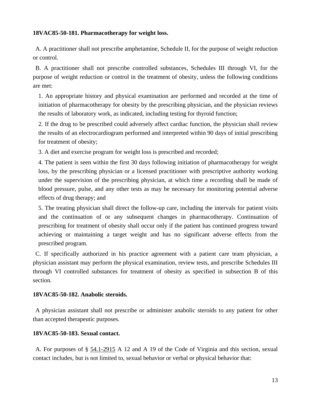# <span id="page-12-0"></span>**18VAC85-50-181. Pharmacotherapy for weight loss.**

A. A practitioner shall not prescribe amphetamine, Schedule II, for the purpose of weight reduction or control.

B. A practitioner shall not prescribe controlled substances, Schedules III through VI, for the purpose of weight reduction or control in the treatment of obesity, unless the following conditions are met:

1. An appropriate history and physical examination are performed and recorded at the time of initiation of pharmacotherapy for obesity by the prescribing physician, and the physician reviews the results of laboratory work, as indicated, including testing for thyroid function;

2. If the drug to be prescribed could adversely affect cardiac function, the physician shall review the results of an electrocardiogram performed and interpreted within 90 days of initial prescribing for treatment of obesity;

3. A diet and exercise program for weight loss is prescribed and recorded;

4. The patient is seen within the first 30 days following initiation of pharmacotherapy for weight loss, by the prescribing physician or a licensed practitioner with prescriptive authority working under the supervision of the prescribing physician, at which time a recording shall be made of blood pressure, pulse, and any other tests as may be necessary for monitoring potential adverse effects of drug therapy; and

5. The treating physician shall direct the follow-up care, including the intervals for patient visits and the continuation of or any subsequent changes in pharmacotherapy. Continuation of prescribing for treatment of obesity shall occur only if the patient has continued progress toward achieving or maintaining a target weight and has no significant adverse effects from the prescribed program.

C. If specifically authorized in his practice agreement with a patient care team physician, a physician assistant may perform the physical examination, review tests, and prescribe Schedules III through VI controlled substances for treatment of obesity as specified in subsection B of this section.

# <span id="page-12-1"></span>**18VAC85-50-182. Anabolic steroids.**

A physician assistant shall not prescribe or administer anabolic steroids to any patient for other than accepted therapeutic purposes.

# <span id="page-12-2"></span>**18VAC85-50-183. Sexual contact.**

A. For purposes of § [54.1-2915](http://law.lis.virginia.gov/vacode/54.1-2915/) A 12 and A 19 of the Code of Virginia and this section, sexual contact includes, but is not limited to, sexual behavior or verbal or physical behavior that: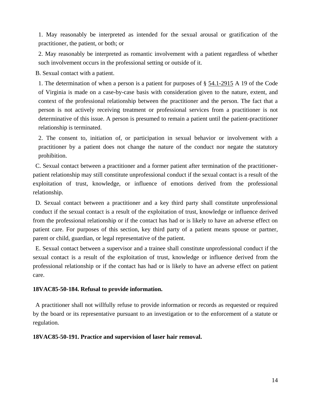1. May reasonably be interpreted as intended for the sexual arousal or gratification of the practitioner, the patient, or both; or

2. May reasonably be interpreted as romantic involvement with a patient regardless of whether such involvement occurs in the professional setting or outside of it.

B. Sexual contact with a patient.

1. The determination of when a person is a patient for purposes of § [54.1-2915](http://law.lis.virginia.gov/vacode/54.1-2915/) A 19 of the Code of Virginia is made on a case-by-case basis with consideration given to the nature, extent, and context of the professional relationship between the practitioner and the person. The fact that a person is not actively receiving treatment or professional services from a practitioner is not determinative of this issue. A person is presumed to remain a patient until the patient-practitioner relationship is terminated.

2. The consent to, initiation of, or participation in sexual behavior or involvement with a practitioner by a patient does not change the nature of the conduct nor negate the statutory prohibition.

C. Sexual contact between a practitioner and a former patient after termination of the practitionerpatient relationship may still constitute unprofessional conduct if the sexual contact is a result of the exploitation of trust, knowledge, or influence of emotions derived from the professional relationship.

D. Sexual contact between a practitioner and a key third party shall constitute unprofessional conduct if the sexual contact is a result of the exploitation of trust, knowledge or influence derived from the professional relationship or if the contact has had or is likely to have an adverse effect on patient care. For purposes of this section, key third party of a patient means spouse or partner, parent or child, guardian, or legal representative of the patient.

E. Sexual contact between a supervisor and a trainee shall constitute unprofessional conduct if the sexual contact is a result of the exploitation of trust, knowledge or influence derived from the professional relationship or if the contact has had or is likely to have an adverse effect on patient care.

# <span id="page-13-0"></span>**18VAC85-50-184. Refusal to provide information.**

A practitioner shall not willfully refuse to provide information or records as requested or required by the board or its representative pursuant to an investigation or to the enforcement of a statute or regulation.

### <span id="page-13-1"></span>**18VAC85-50-191. Practice and supervision of laser hair removal.**